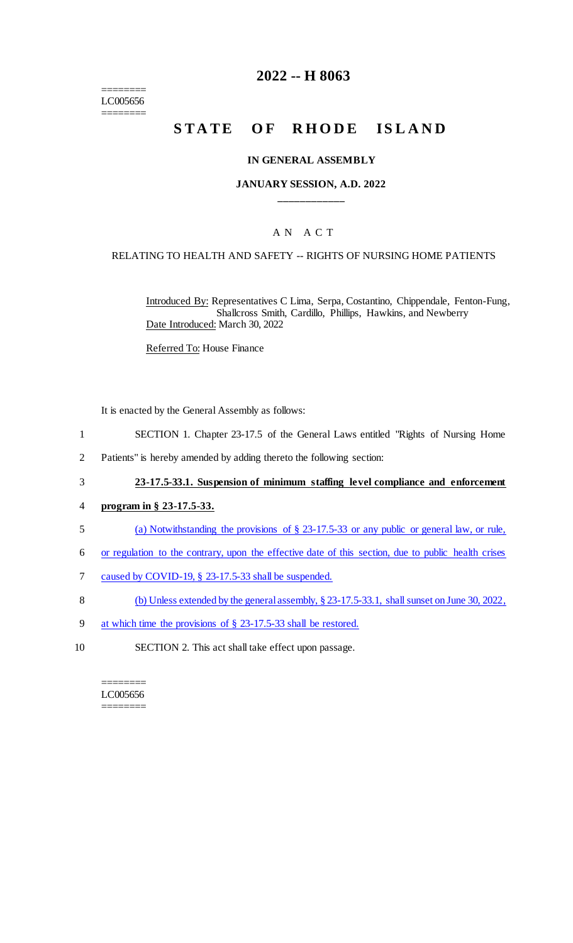======== LC005656 ========

## **2022 -- H 8063**

# **STATE OF RHODE ISLAND**

#### **IN GENERAL ASSEMBLY**

#### **JANUARY SESSION, A.D. 2022 \_\_\_\_\_\_\_\_\_\_\_\_**

### A N A C T

#### RELATING TO HEALTH AND SAFETY -- RIGHTS OF NURSING HOME PATIENTS

Introduced By: Representatives C Lima, Serpa, Costantino, Chippendale, Fenton-Fung, Shallcross Smith, Cardillo, Phillips, Hawkins, and Newberry Date Introduced: March 30, 2022

Referred To: House Finance

It is enacted by the General Assembly as follows:

- 1 SECTION 1. Chapter 23-17.5 of the General Laws entitled "Rights of Nursing Home
- 2 Patients" is hereby amended by adding thereto the following section:
- 3 **23-17.5-33.1. Suspension of minimum staffing level compliance and enforcement**
- 4 **program in § 23-17.5-33.**
- 5 (a) Notwithstanding the provisions of § 23-17.5-33 or any public or general law, or rule,
- 6 or regulation to the contrary, upon the effective date of this section, due to public health crises
- 7 caused by COVID-19, § 23-17.5-33 shall be suspended.
- 8 (b) Unless extended by the general assembly, § 23-17.5-33.1, shall sunset on June 30, 2022,
- 9 at which time the provisions of § 23-17.5-33 shall be restored.
- 10 SECTION 2. This act shall take effect upon passage.

======== LC005656 ========